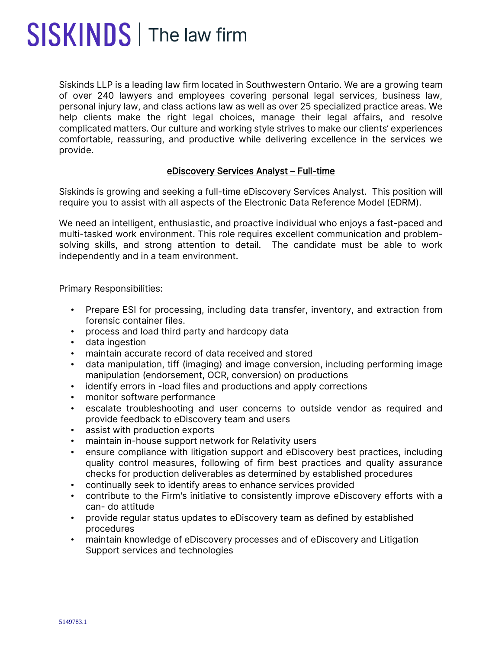## SISKINDS | The law firm

Siskinds LLP is a leading law firm located in Southwestern Ontario. We are a growing team of over 240 lawyers and employees covering personal legal services, business law, personal injury law, and class actions law as well as over 25 specialized practice areas. We help clients make the right legal choices, manage their legal affairs, and resolve complicated matters. Our culture and working style strives to make our clients' experiences comfortable, reassuring, and productive while delivering excellence in the services we provide.

## eDiscovery Services Analyst – Full-time

Siskinds is growing and seeking a full-time eDiscovery Services Analyst. This position will require you to assist with all aspects of the Electronic Data Reference Model (EDRM).

We need an intelligent, enthusiastic, and proactive individual who enjoys a fast-paced and multi-tasked work environment. This role requires excellent communication and problemsolving skills, and strong attention to detail. The candidate must be able to work independently and in a team environment.

Primary Responsibilities:

- Prepare ESI for processing, including data transfer, inventory, and extraction from forensic container files.
- process and load third party and hardcopy data
- data ingestion
- maintain accurate record of data received and stored
- data manipulation, tiff (imaging) and image conversion, including performing image manipulation (endorsement, OCR, conversion) on productions
- identify errors in -load files and productions and apply corrections
- monitor software performance
- escalate troubleshooting and user concerns to outside vendor as required and provide feedback to eDiscovery team and users
- assist with production exports
- maintain in-house support network for Relativity users
- ensure compliance with litigation support and eDiscovery best practices, including quality control measures, following of firm best practices and quality assurance checks for production deliverables as determined by established procedures
- continually seek to identify areas to enhance services provided
- contribute to the Firm's initiative to consistently improve eDiscovery efforts with a can- do attitude
- provide regular status updates to eDiscovery team as defined by established procedures
- maintain knowledge of eDiscovery processes and of eDiscovery and Litigation Support services and technologies